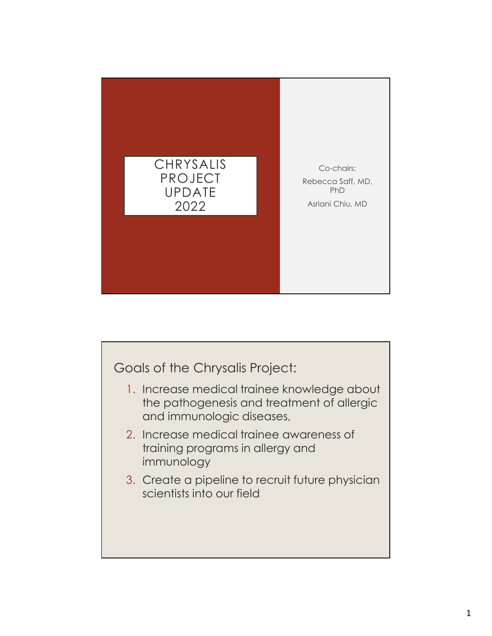

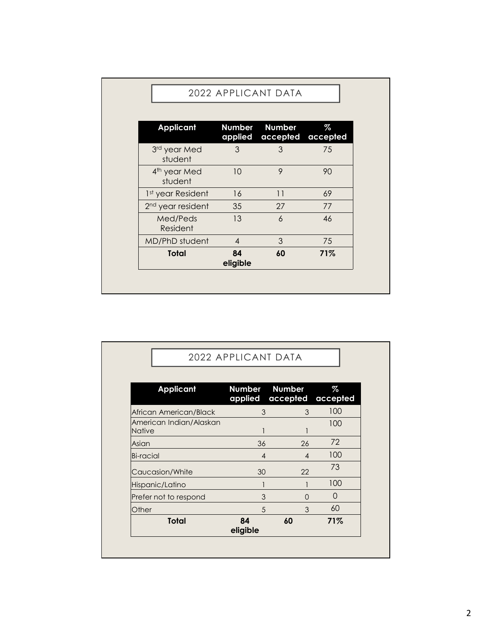| Med/Peds                                                                | 13                                        | $\boldsymbol{6}$                                | 46                           |  |
|-------------------------------------------------------------------------|-------------------------------------------|-------------------------------------------------|------------------------------|--|
| student<br>1st year Resident<br>2 <sup>nd</sup> year resident           | 16<br>35                                  | 11<br>27                                        | 69<br>77                     |  |
| <b>Applicant</b><br>3rd year Med<br>student<br>4 <sup>th</sup> year Med | Number<br>applied<br>$\mathfrak{S}$<br>10 | <b>Number</b><br>accepted<br>3<br>$\mathcal{P}$ | $\%$<br>accepted<br>75<br>90 |  |
|                                                                         | 2022 APPLICANT DATA                       |                                                 |                              |  |

| 2 <sup>nd</sup> year resident                                                                                                                                                    | 35                       | 27                        | 77                  |
|----------------------------------------------------------------------------------------------------------------------------------------------------------------------------------|--------------------------|---------------------------|---------------------|
| Med/Peds<br>Resident                                                                                                                                                             | 13                       | $\ddot{\delta}$           | 46                  |
| MD/PhD student                                                                                                                                                                   | $\overline{4}$           | $\mathfrak{Z}$            | 75                  |
| <b>Total</b>                                                                                                                                                                     | 84<br>eligible           | 60                        | 71%                 |
|                                                                                                                                                                                  |                          |                           |                     |
|                                                                                                                                                                                  |                          |                           |                     |
|                                                                                                                                                                                  |                          |                           |                     |
|                                                                                                                                                                                  |                          |                           |                     |
|                                                                                                                                                                                  |                          |                           |                     |
|                                                                                                                                                                                  | 2022 APPLICANT DATA      |                           |                     |
|                                                                                                                                                                                  |                          |                           |                     |
|                                                                                                                                                                                  |                          |                           |                     |
| <b>Applicant</b>                                                                                                                                                                 | <b>Number</b><br>applied | <b>Number</b><br>accepted | $\%$<br>accepted    |
|                                                                                                                                                                                  | $\mathfrak{S}$           |                           |                     |
|                                                                                                                                                                                  |                          | $\mathfrak{S}$            | 100                 |
|                                                                                                                                                                                  | $\overline{1}$           | 1                         | 100                 |
|                                                                                                                                                                                  | 36                       | 26                        | $72\,$              |
|                                                                                                                                                                                  | $\overline{4}$           | $\overline{4}$            | 100                 |
|                                                                                                                                                                                  | 30                       | 22                        | 73                  |
|                                                                                                                                                                                  | $\mathbf{1}$             | $\mathbf{1}$              | 100                 |
|                                                                                                                                                                                  | $\mathfrak{S}$           | $\mathsf{O}$              | $\mathsf{O}\xspace$ |
|                                                                                                                                                                                  | 5                        | $\mathfrak{S}$            | 60                  |
| African American/Black<br>American Indian/Alaskan<br>Native<br>Asian<br><b>Bi-racial</b><br>Caucasion/White<br>Hispanic/Latino<br>Prefer not to respond<br>Other<br><b>Total</b> | 84<br>eligible           | 60                        | 71%                 |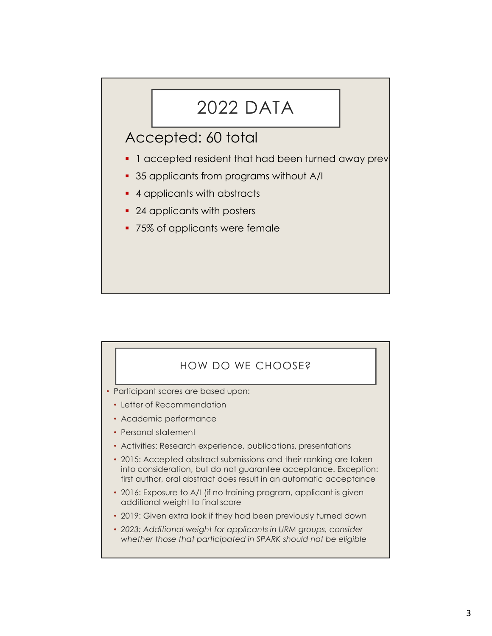## 2022 DATA

- 2022 DATA<br>
Accepted: 60 total<br>
 1 accepted resident that had been turned away prev<br>
 35 applicants from programs without A/I
- 35 applicants from programs without A/I
- 4 applicants with abstracts
- 24 applicants with posters
- **75% of applicants were female**



- Participant scores are based upon:
	- Letter of Recommendation
	- Academic performance
	- Personal statement
	- Activities: Research experience, publications, presentations
	- 2015: Accepted abstract submissions and their ranking are taken into consideration, but do not guarantee acceptance. Exception: first author, oral abstract does result in an automatic acceptance
	- 2016: Exposure to A/I (if no training program, applicant is given additional weight to final score
	- 2019: Given extra look if they had been previously turned down
	- 2023: Additional weight for applicants in URM groups, consider whether those that participated in SPARK should not be eligible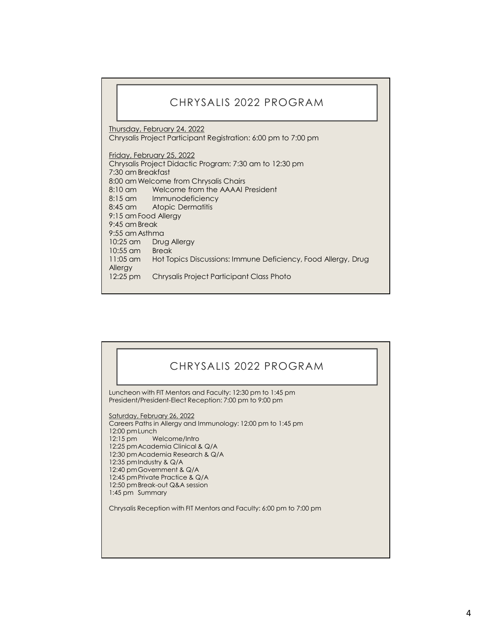## CHRYSALIS 2022 PROGRAM

Thursday, February 24, 2022 Chrysalis Project Participant Registration: 6:00 pm to 7:00 pm

Friday, February 25, 2022 Chrysalis Project Didactic Program: 7:30 am to 12:30 pm CHRYSALIS 2022 PROGRAM<br>
Thursday, February 24, 2022<br>
Thrusday, February 24, 2022<br>
Chrysalis Project Participant Registration: 6:00 pm to 7:00 pm<br>
Friday, February 25, 2022<br>
Chrysalis Project Didactic Program: 7:30 am to 12 CHRYSALIS 2022 PROGRAM<br>
Thursday, February 24, 2022<br>
Chrysalis Project Participant Registration: 6:00 pm to 7:00 pm<br>
Friday, February 25, 2022<br>
Chrysalis Project Didactic Program: 7:30 am to 12:30 pm<br>
3:30 am Breaktast<br>
8: 8:10 am Welcome from the AAAAI President 8:15 am Immunodeficiency<br>8:45 am Atopic Dermatitis Atopic Dermatitis Thursday, February 24, 2022<br>
2022 PROGRAM<br>
Thursday, February 24, 2022<br>
Chrysalis Project Participant Registration: 6:00 pm to 7:00 pm<br>
Friday, February 25, 2022<br>
Chrysalis Project Didactic Program: 7:30 am to 12:30 pm<br>
7: CHRYSALIS 2022 PROGRAM<br>
Thursday, February 24, 2022<br>
Chrysalis Project Participant Registration: 6:00 pm to 7:00 pm<br>
Friday, February 25, 2022<br>
Chrysalis Project Didactic Program: 7:30 am to 12:30 pm<br>
8:00 am Breakfast<br>
8: CHRYSALIS 2022 PROGRAM<br>
Thursday, February 24, 2022<br>
Chrysalis Project Participant Registration: 6:00 pm to 7:00 pm<br>
Friday, February 25, 2022<br>
Chrysalis Project Didactic Program: 7:30 am to 12:30 pm<br>
Chrysalis Project Did CHRYSALIS 2022 PROGRAM<br>
Thursday, February 24, 2022<br>
Chrysalis Project Participant Registration: 6:00 pm to 7:00 pm<br>
Efriday, February 25, 2022<br>
Chrysalis Project Didactic Program: 7:30 am to 12:30 pm<br>
7:30 am Breckfast<br>
8 CHRYSALIS 2022 PROGRAM<br>
Thursday, February 24, 2022<br>
Chrysalis Project Participant Registration: 6:00 pm to 7:00 pm<br>
Friday, February 25, 2022<br>
Chrysalis Project Didactic Program: 7:30 am to 12:30 pm<br>
7:30 am Breakfast<br>
8: CHRYSALIS 2022 PROGRAM<br>
Ihussday, February 24, 2022<br>
Chrysalis Project Participant Registration: 6:00 pm to 7:00 pm<br>
Friday, February 25, 2022<br>
Chrysalis Project Didactic Program: 7:30 am to 12:30 pm<br>
7:30 am Melcome from Allergy 12:25 pm Chrysalis Project Participant Class Photo

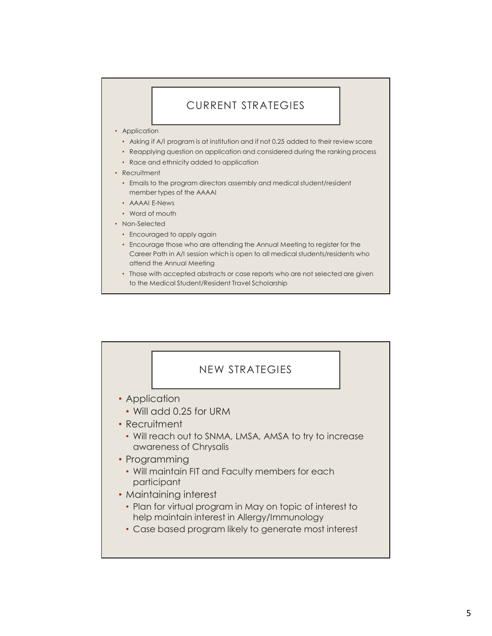## CURRENT STRATEGIES

- Application
	- Asking if A/I program is at institution and if not 0.25 added to their review score
	- Reapplying question on application and considered during the ranking process
	- Race and ethnicity added to application
- Recruitment
	- Emails to the program directors assembly and medical student/resident member types of the AAAAI
	- AAAAI E-News
	- Word of mouth
- Non-Selected
	- Encouraged to apply again
	- Encourage those who are attending the Annual Meeting to register for the Career Path in A/I session which is open to all medical students/residents who attend the Annual Meeting
	- Those with accepted abstracts or case reports who are not selected are given to the Medical Student/Resident Travel Scholarship